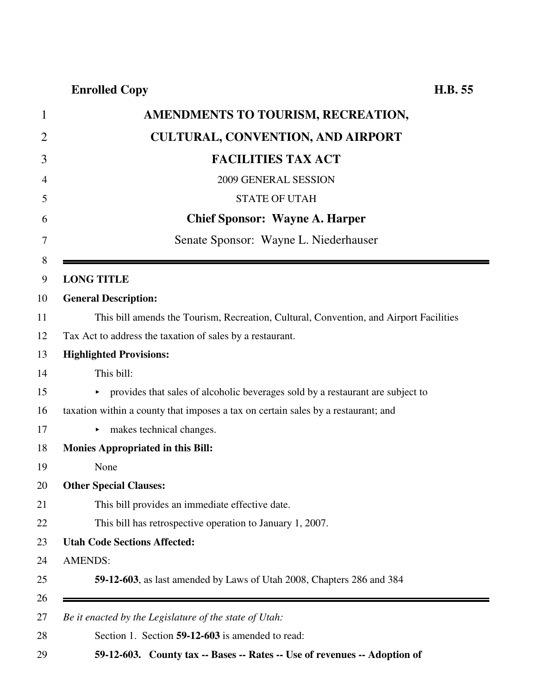| AMENDMENTS TO TOURISM, RECREATION,                                                     |
|----------------------------------------------------------------------------------------|
| <b>CULTURAL, CONVENTION, AND AIRPORT</b>                                               |
| <b>FACILITIES TAX ACT</b>                                                              |
| 2009 GENERAL SESSION                                                                   |
| <b>STATE OF UTAH</b>                                                                   |
| <b>Chief Sponsor: Wayne A. Harper</b>                                                  |
| Senate Sponsor: Wayne L. Niederhauser                                                  |
|                                                                                        |
| <b>LONG TITLE</b><br><b>General Description:</b>                                       |
| This bill amends the Tourism, Recreation, Cultural, Convention, and Airport Facilities |
| Tax Act to address the taxation of sales by a restaurant.                              |
| <b>Highlighted Provisions:</b>                                                         |
| This bill:                                                                             |
| • provides that sales of alcoholic beverages sold by a restaurant are subject to       |
| taxation within a county that imposes a tax on certain sales by a restaurant; and      |
| makes technical changes.<br>Þ.                                                         |
| <b>Monies Appropriated in this Bill:</b>                                               |
| None                                                                                   |
| <b>Other Special Clauses:</b>                                                          |
| This bill provides an immediate effective date.                                        |
| This bill has retrospective operation to January 1, 2007.                              |
| <b>Utah Code Sections Affected:</b>                                                    |
| <b>AMENDS:</b>                                                                         |
| 59-12-603, as last amended by Laws of Utah 2008, Chapters 286 and 384                  |
| Be it enacted by the Legislature of the state of Utah:                                 |
| Section 1. Section 59-12-603 is amended to read:                                       |
| 59-12-603. County tax -- Bases -- Rates -- Use of revenues -- Adoption of              |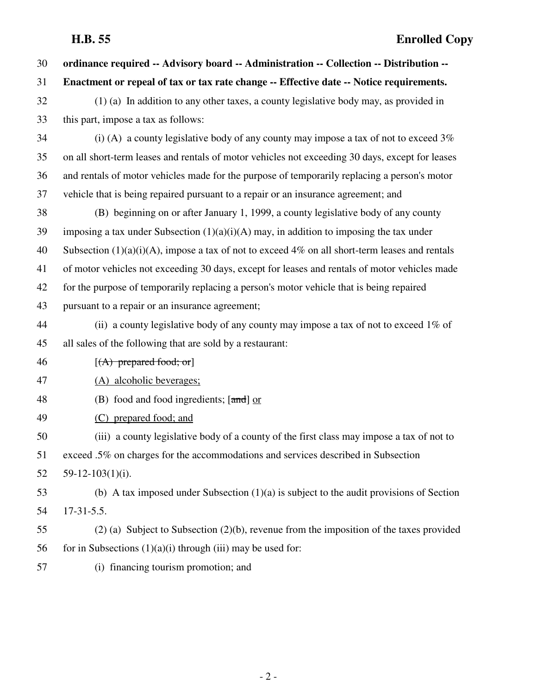| 30 | ordinance required -- Advisory board -- Administration -- Collection -- Distribution --           |
|----|---------------------------------------------------------------------------------------------------|
| 31 | Enactment or repeal of tax or tax rate change -- Effective date -- Notice requirements.           |
| 32 | (1) (a) In addition to any other taxes, a county legislative body may, as provided in             |
| 33 | this part, impose a tax as follows:                                                               |
| 34 | (i) (A) a county legislative body of any county may impose a tax of not to exceed $3\%$           |
| 35 | on all short-term leases and rentals of motor vehicles not exceeding 30 days, except for leases   |
| 36 | and rentals of motor vehicles made for the purpose of temporarily replacing a person's motor      |
| 37 | vehicle that is being repaired pursuant to a repair or an insurance agreement; and                |
| 38 | (B) beginning on or after January 1, 1999, a county legislative body of any county                |
| 39 | imposing a tax under Subsection $(1)(a)(i)(A)$ may, in addition to imposing the tax under         |
| 40 | Subsection $(1)(a)(i)(A)$ , impose a tax of not to exceed 4% on all short-term leases and rentals |
| 41 | of motor vehicles not exceeding 30 days, except for leases and rentals of motor vehicles made     |
| 42 | for the purpose of temporarily replacing a person's motor vehicle that is being repaired          |
| 43 | pursuant to a repair or an insurance agreement;                                                   |
| 44 | (ii) a county legislative body of any county may impose a tax of not to exceed $1\%$ of           |
| 45 | all sales of the following that are sold by a restaurant:                                         |
| 46 | $[(A)$ prepared food; or                                                                          |
| 47 | (A) alcoholic beverages;                                                                          |
| 48 | (B) food and food ingredients; $[\frac{and}{\text{or}}] or$                                       |
| 49 | (C) prepared food; and                                                                            |
| 50 | (iii) a county legislative body of a county of the first class may impose a tax of not to         |
| 51 | exceed .5% on charges for the accommodations and services described in Subsection                 |
| 52 | $59-12-103(1)(i)$ .                                                                               |
| 53 | (b) A tax imposed under Subsection $(1)(a)$ is subject to the audit provisions of Section         |
| 54 | $17-31-5.5$ .                                                                                     |
| 55 | $(2)$ (a) Subject to Subsection $(2)(b)$ , revenue from the imposition of the taxes provided      |
| 56 | for in Subsections $(1)(a)(i)$ through $(iii)$ may be used for:                                   |
| 57 | (i) financing tourism promotion; and                                                              |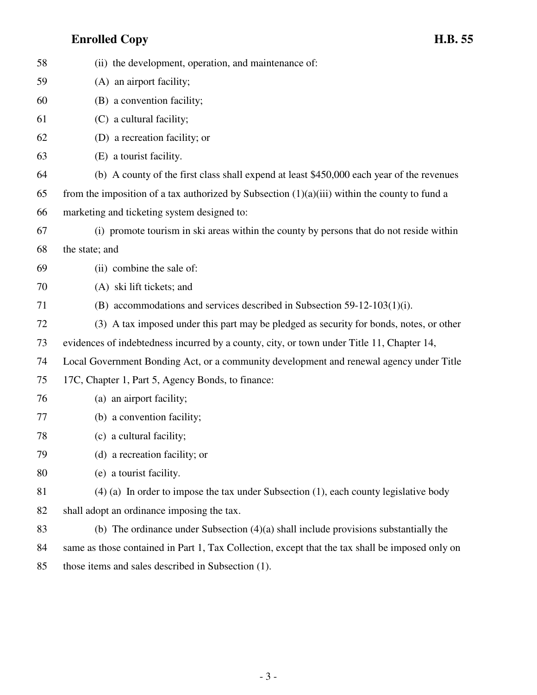| 58 | (ii) the development, operation, and maintenance of:                                            |
|----|-------------------------------------------------------------------------------------------------|
| 59 | (A) an airport facility;                                                                        |
| 60 | (B) a convention facility;                                                                      |
| 61 | (C) a cultural facility;                                                                        |
| 62 | (D) a recreation facility; or                                                                   |
| 63 | (E) a tourist facility.                                                                         |
| 64 | (b) A county of the first class shall expend at least \$450,000 each year of the revenues       |
| 65 | from the imposition of a tax authorized by Subsection $(1)(a)(iii)$ within the county to fund a |
| 66 | marketing and ticketing system designed to:                                                     |
| 67 | (i) promote tourism in ski areas within the county by persons that do not reside within         |
| 68 | the state; and                                                                                  |
| 69 | (ii) combine the sale of:                                                                       |
| 70 | (A) ski lift tickets; and                                                                       |
| 71 | (B) accommodations and services described in Subsection 59-12-103(1)(i).                        |
| 72 | (3) A tax imposed under this part may be pledged as security for bonds, notes, or other         |
| 73 | evidences of indebtedness incurred by a county, city, or town under Title 11, Chapter 14,       |
| 74 | Local Government Bonding Act, or a community development and renewal agency under Title         |
| 75 | 17C, Chapter 1, Part 5, Agency Bonds, to finance:                                               |
| 76 | (a) an airport facility;                                                                        |
| 77 | (b) a convention facility;                                                                      |
| 78 | (c) a cultural facility;                                                                        |
| 79 | (d) a recreation facility; or                                                                   |
| 80 | (e) a tourist facility.                                                                         |
| 81 | $(4)$ (a) In order to impose the tax under Subsection (1), each county legislative body         |
| 82 | shall adopt an ordinance imposing the tax.                                                      |
| 83 | (b) The ordinance under Subsection $(4)(a)$ shall include provisions substantially the          |
| 84 | same as those contained in Part 1, Tax Collection, except that the tax shall be imposed only on |
| 85 | those items and sales described in Subsection (1).                                              |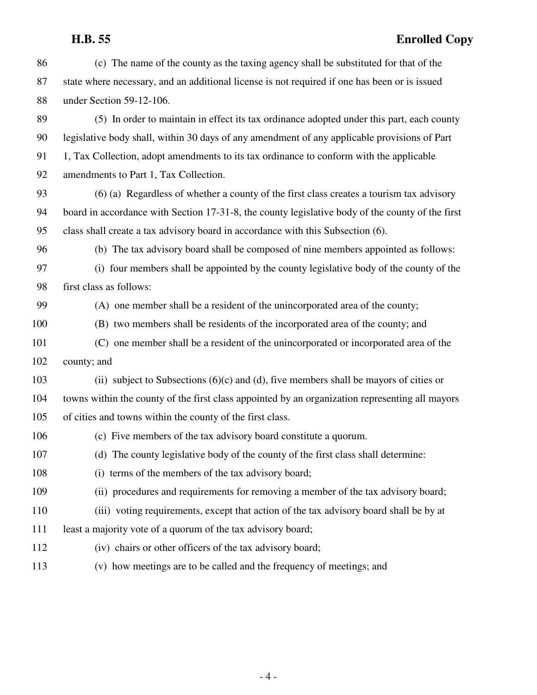# **H.B. 55 Enrolled Copy**

| 86  | (c) The name of the county as the taxing agency shall be substituted for that of the             |
|-----|--------------------------------------------------------------------------------------------------|
| 87  | state where necessary, and an additional license is not required if one has been or is issued    |
| 88  | under Section 59-12-106.                                                                         |
| 89  | (5) In order to maintain in effect its tax ordinance adopted under this part, each county        |
| 90  | legislative body shall, within 30 days of any amendment of any applicable provisions of Part     |
| 91  | 1, Tax Collection, adopt amendments to its tax ordinance to conform with the applicable          |
| 92  | amendments to Part 1, Tax Collection.                                                            |
| 93  | $(6)$ (a) Regardless of whether a county of the first class creates a tourism tax advisory       |
| 94  | board in accordance with Section 17-31-8, the county legislative body of the county of the first |
| 95  | class shall create a tax advisory board in accordance with this Subsection (6).                  |
| 96  | (b) The tax advisory board shall be composed of nine members appointed as follows:               |
| 97  | (i) four members shall be appointed by the county legislative body of the county of the          |
| 98  | first class as follows:                                                                          |
| 99  | (A) one member shall be a resident of the unincorporated area of the county;                     |
| 100 | (B) two members shall be residents of the incorporated area of the county; and                   |
| 101 | (C) one member shall be a resident of the unincorporated or incorporated area of the             |
| 102 | county; and                                                                                      |
| 103 | (ii) subject to Subsections $(6)(c)$ and $(d)$ , five members shall be mayors of cities or       |
| 104 | towns within the county of the first class appointed by an organization representing all mayors  |
| 105 | of cities and towns within the county of the first class.                                        |
| 106 | (c) Five members of the tax advisory board constitute a quorum.                                  |
| 107 | (d) The county legislative body of the county of the first class shall determine:                |
| 108 | (i) terms of the members of the tax advisory board;                                              |
| 109 | (ii) procedures and requirements for removing a member of the tax advisory board;                |
| 110 | (iii) voting requirements, except that action of the tax advisory board shall be by at           |
| 111 | least a majority vote of a quorum of the tax advisory board;                                     |
| 112 | (iv) chairs or other officers of the tax advisory board;                                         |
| 113 | (v) how meetings are to be called and the frequency of meetings; and                             |
|     |                                                                                                  |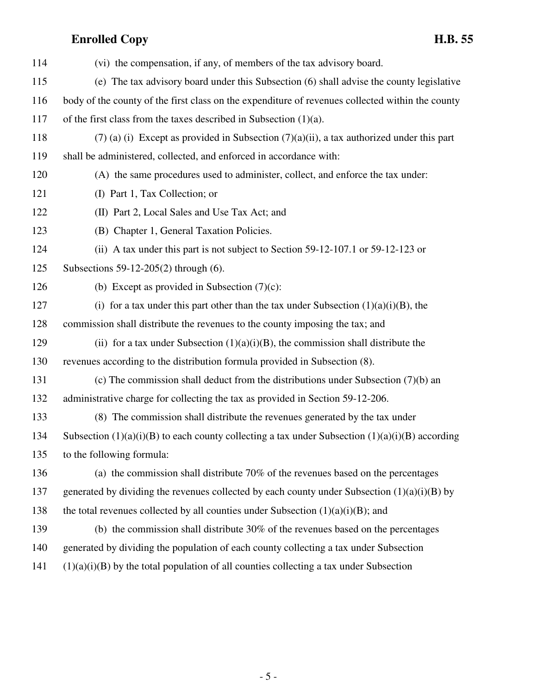| 114 | (vi) the compensation, if any, of members of the tax advisory board.                                |
|-----|-----------------------------------------------------------------------------------------------------|
| 115 | (e) The tax advisory board under this Subsection (6) shall advise the county legislative            |
| 116 | body of the county of the first class on the expenditure of revenues collected within the county    |
| 117 | of the first class from the taxes described in Subsection $(1)(a)$ .                                |
| 118 | $(7)$ (a) (i) Except as provided in Subsection $(7)(a)(ii)$ , a tax authorized under this part      |
| 119 | shall be administered, collected, and enforced in accordance with:                                  |
| 120 | (A) the same procedures used to administer, collect, and enforce the tax under:                     |
| 121 | (I) Part 1, Tax Collection; or                                                                      |
| 122 | (II) Part 2, Local Sales and Use Tax Act; and                                                       |
| 123 | (B) Chapter 1, General Taxation Policies.                                                           |
| 124 | (ii) A tax under this part is not subject to Section 59-12-107.1 or 59-12-123 or                    |
| 125 | Subsections 59-12-205(2) through $(6)$ .                                                            |
| 126 | (b) Except as provided in Subsection $(7)(c)$ :                                                     |
| 127 | (i) for a tax under this part other than the tax under Subsection $(1)(a)(i)(B)$ , the              |
| 128 | commission shall distribute the revenues to the county imposing the tax; and                        |
| 129 | (ii) for a tax under Subsection $(1)(a)(i)(B)$ , the commission shall distribute the                |
| 130 | revenues according to the distribution formula provided in Subsection (8).                          |
| 131 | (c) The commission shall deduct from the distributions under Subsection $(7)(b)$ and                |
| 132 | administrative charge for collecting the tax as provided in Section 59-12-206.                      |
| 133 | (8) The commission shall distribute the revenues generated by the tax under                         |
| 134 | Subsection $(1)(a)(i)(B)$ to each county collecting a tax under Subsection $(1)(a)(i)(B)$ according |
| 135 | to the following formula:                                                                           |
| 136 | (a) the commission shall distribute $70\%$ of the revenues based on the percentages                 |
| 137 | generated by dividing the revenues collected by each county under Subsection $(1)(a)(i)(B)$ by      |
| 138 | the total revenues collected by all counties under Subsection $(1)(a)(i)(B)$ ; and                  |
| 139 | (b) the commission shall distribute $30\%$ of the revenues based on the percentages                 |
| 140 | generated by dividing the population of each county collecting a tax under Subsection               |
| 141 | $(1)(a)(i)(B)$ by the total population of all counties collecting a tax under Subsection            |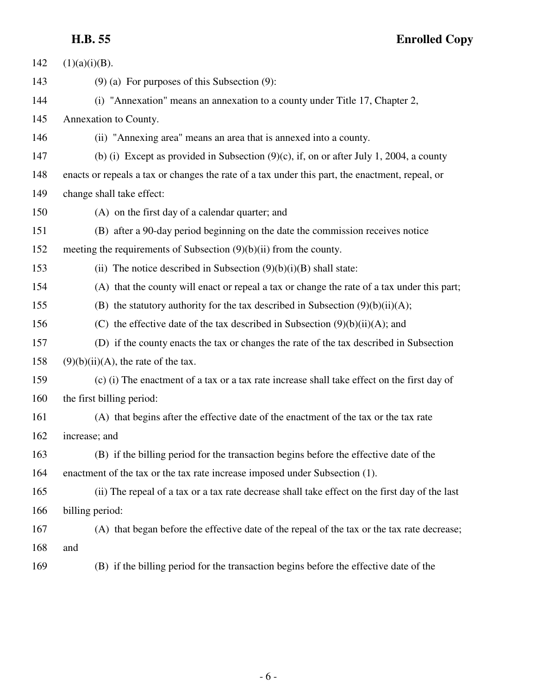| H.B. 55 | <b>Enrolled Copy</b> |
|---------|----------------------|
|---------|----------------------|

| 142 | $(1)(a)(i)(B)$ .                                                                                |
|-----|-------------------------------------------------------------------------------------------------|
| 143 | $(9)$ (a) For purposes of this Subsection $(9)$ :                                               |
| 144 | (i) "Annexation" means an annexation to a county under Title 17, Chapter 2,                     |
| 145 | Annexation to County.                                                                           |
| 146 | (ii) "Annexing area" means an area that is annexed into a county.                               |
| 147 | (b) (i) Except as provided in Subsection $(9)(c)$ , if, on or after July 1, 2004, a county      |
| 148 | enacts or repeals a tax or changes the rate of a tax under this part, the enactment, repeal, or |
| 149 | change shall take effect:                                                                       |
| 150 | (A) on the first day of a calendar quarter; and                                                 |
| 151 | (B) after a 90-day period beginning on the date the commission receives notice                  |
| 152 | meeting the requirements of Subsection $(9)(b)(ii)$ from the county.                            |
| 153 | (ii) The notice described in Subsection $(9)(b)(i)(B)$ shall state:                             |
| 154 | (A) that the county will enact or repeal a tax or change the rate of a tax under this part;     |
| 155 | (B) the statutory authority for the tax described in Subsection $(9)(b)(ii)(A)$ ;               |
| 156 | (C) the effective date of the tax described in Subsection $(9)(b)(ii)(A)$ ; and                 |
| 157 | (D) if the county enacts the tax or changes the rate of the tax described in Subsection         |
| 158 | $(9)(b)(ii)(A)$ , the rate of the tax.                                                          |
| 159 | (c) (i) The enactment of a tax or a tax rate increase shall take effect on the first day of     |
| 160 | the first billing period:                                                                       |
| 161 | (A) that begins after the effective date of the enactment of the tax or the tax rate            |
| 162 | increase; and                                                                                   |
| 163 | (B) if the billing period for the transaction begins before the effective date of the           |
| 164 | enactment of the tax or the tax rate increase imposed under Subsection (1).                     |
| 165 | (ii) The repeal of a tax or a tax rate decrease shall take effect on the first day of the last  |
| 166 | billing period:                                                                                 |
| 167 | (A) that began before the effective date of the repeal of the tax or the tax rate decrease;     |
| 168 | and                                                                                             |
| 160 |                                                                                                 |

169 (B) if the billing period for the transaction begins before the effective date of the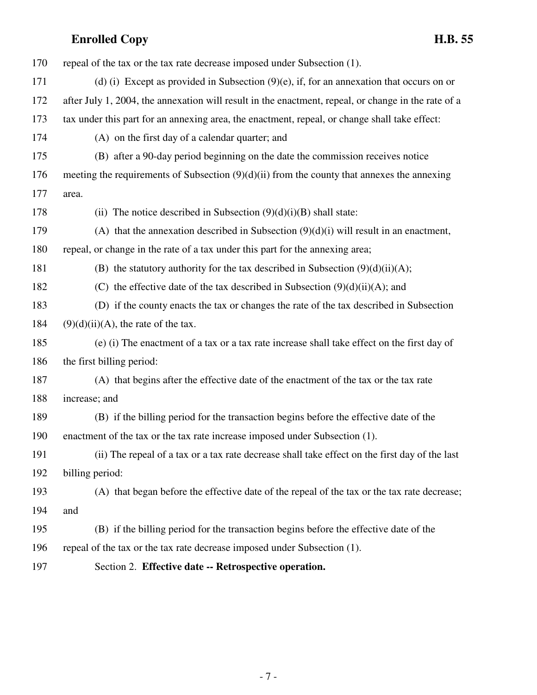| 170 | repeal of the tax or the tax rate decrease imposed under Subsection (1).                            |
|-----|-----------------------------------------------------------------------------------------------------|
| 171 | (d) (i) Except as provided in Subsection $(9)(e)$ , if, for an annexation that occurs on or         |
| 172 | after July 1, 2004, the annexation will result in the enactment, repeal, or change in the rate of a |
| 173 | tax under this part for an annexing area, the enactment, repeal, or change shall take effect:       |
| 174 | (A) on the first day of a calendar quarter; and                                                     |
| 175 | (B) after a 90-day period beginning on the date the commission receives notice                      |
| 176 | meeting the requirements of Subsection $(9)(d)(ii)$ from the county that annexes the annexing       |
| 177 | area.                                                                                               |
| 178 | (ii) The notice described in Subsection $(9)(d)(i)(B)$ shall state:                                 |
| 179 | (A) that the annexation described in Subsection $(9)(d)(i)$ will result in an enactment,            |
| 180 | repeal, or change in the rate of a tax under this part for the annexing area;                       |
| 181 | (B) the statutory authority for the tax described in Subsection $(9)(d)(ii)(A)$ ;                   |
| 182 | (C) the effective date of the tax described in Subsection $(9)(d)(ii)(A)$ ; and                     |
| 183 | (D) if the county enacts the tax or changes the rate of the tax described in Subsection             |
| 184 | $(9)(d)(ii)(A)$ , the rate of the tax.                                                              |
| 185 | (e) (i) The enactment of a tax or a tax rate increase shall take effect on the first day of         |
| 186 | the first billing period:                                                                           |
| 187 | (A) that begins after the effective date of the enactment of the tax or the tax rate                |
| 188 | increase; and                                                                                       |
| 189 | (B) if the billing period for the transaction begins before the effective date of the               |
| 190 | enactment of the tax or the tax rate increase imposed under Subsection (1).                         |
| 191 | (ii) The repeal of a tax or a tax rate decrease shall take effect on the first day of the last      |
| 192 | billing period:                                                                                     |
| 193 | (A) that began before the effective date of the repeal of the tax or the tax rate decrease;         |
| 194 | and                                                                                                 |
| 195 | (B) if the billing period for the transaction begins before the effective date of the               |
| 196 | repeal of the tax or the tax rate decrease imposed under Subsection (1).                            |
| 197 | Section 2. Effective date -- Retrospective operation.                                               |